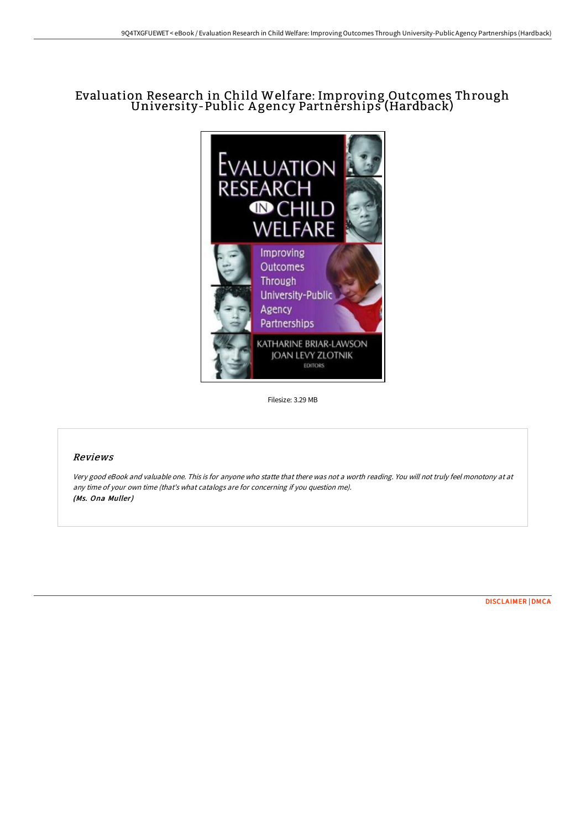## Evaluation Research in Child Welfare: Improving Outcomes Through University-Public A gency Partnerships (Hardback)



Filesize: 3.29 MB

## Reviews

Very good eBook and valuable one. This is for anyone who statte that there was not <sup>a</sup> worth reading. You will not truly feel monotony at at any time of your own time (that's what catalogs are for concerning if you question me). (Ms. Ona Muller)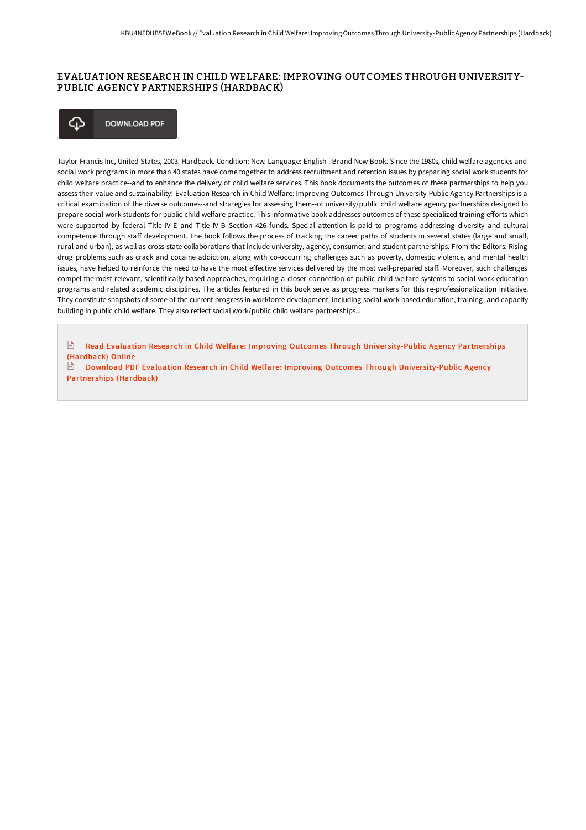## EVALUATION RESEARCH IN CHILD WELFARE: IMPROVING OUTCOMES THROUGH UNIVERSITY-PUBLIC AGENCY PARTNERSHIPS (HARDBACK)



Taylor Francis Inc, United States, 2003. Hardback. Condition: New. Language: English . Brand New Book. Since the 1980s, child welfare agencies and social work programs in more than 40 states have come together to address recruitment and retention issues by preparing social work students for child welfare practice--and to enhance the delivery of child welfare services. This book documents the outcomes of these partnerships to help you assess their value and sustainability! Evaluation Research in Child Welfare: Improving Outcomes Through University-Public Agency Partnerships is a critical examination of the diverse outcomes--and strategies for assessing them--of university/public child welfare agency partnerships designed to prepare social work students for public child welfare practice. This informative book addresses outcomes of these specialized training eForts which were supported by federal Title IV-E and Title IV-B Section 426 funds. Special attention is paid to programs addressing diversity and cultural competence through staF development. The book follows the process of tracking the career paths of students in several states (large and small, rural and urban), as well as cross-state collaborations that include university, agency, consumer, and student partnerships. From the Editors: Rising drug problems such as crack and cocaine addiction, along with co-occurring challenges such as poverty, domestic violence, and mental health issues, have helped to reinforce the need to have the most effective services delivered by the most well-prepared staff. Moreover, such challenges compel the most relevant, scientifically based approaches, requiring a closer connection of public child welfare systems to social work education programs and related academic disciplines. The articles featured in this book serve as progress markers for this re-professionalization initiative. They constitute snapshots of some of the current progress in workforce development, including social work based education, training, and capacity building in public child welfare. They also reflect social work/public child welfare partnerships...

**Read Evaluation Research in Child Welfare: Improving Outcomes Through University-Public Agency Partnerships** [\(Hardback\)](http://bookera.tech/evaluation-research-in-child-welfare-improving-o-1.html) Online

**Download PDF Evaluation Research in Child Welfare: Improving Outcomes Through University-Public Agency** Partner ships [\(Hardback\)](http://bookera.tech/evaluation-research-in-child-welfare-improving-o-1.html)